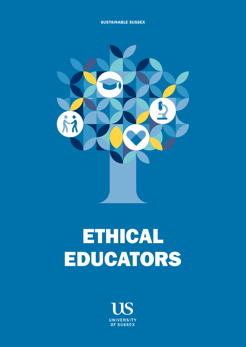SUSTAINABLE SUSSEX



# ETHICAL EDUCATORS

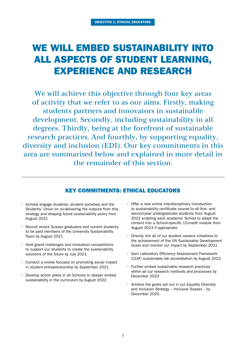# WE WILL EMBED SUSTAINABILITY INTO ALL ASPECTS OF STUDENT LEARNING, EXPERIENCE AND RESEARCH

We will achieve this objective through four key areas of activity that we refer to as our aims. Firstly, making students partners and innovators in sustainable development. Secondly, including sustainability in all degrees. Thirdly, being at the forefront of sustainable research practices. And fourthly, by supporting equality, diversity and inclusion (EDI). Our key commitments in this area are summarised below and explained in more detail in the remainder of this section.

#### KEY COMMITMENTS: ETHICAL EDUCATORS

- Actively engage students, student societies and the Students' Union on co-delivering the outputs from this strategy and shaping future sustainability policy from August 2021
- Recruit recent Sussex graduates and current students to be paid members of the University Sustainability Team by August 2021
- Hold grand challenges and innovation competitions to support our students to create the sustainability solutions of the future by July 2021
- Conduct a review focused on promoting social impact in student entrepreneurship by September 2021
- Develop action plans in all Schools to deeper embed sustainability in the curriculum by August 2022
- Offer a new online interdisciplinary introduction to sustainability certificate course to all first- and second-year undergraduate students from August 2022 enabling each academic School to adapt the content into a School-specific 15-credit module from August 2023 if appropriate
- Directly link all of our student careers initiatives to the achievement of the UN Sustainable Development Goals and monitor our impact by September 2021
- Gain Laboratory Efficiency Assessment Framework (LEAF) sustainable lab accreditation by August 2022
- Further embed sustainable research practices within all our research methods and processes by December 2023
- Achieve the goals set out in our Equality Diversity and Inclusion Strategy – Inclusive Sussex – by December 2025.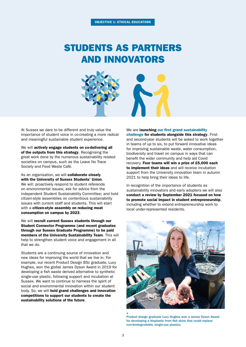### STUDENTS AS PARTNERS AND INNOVATORS



At Sussex we dare to be different and truly value the importance of student voice in co-creating a more radical and meaningful sustainable student experience.

We will actively engage students on co-delivering all of the outputs from this strategy. Recognising the great work done by the numerous sustainability related societies on campus, such as the Leave No Trace Society and Food Waste Café.

As an organisation, we will collaborate closely with the University of Sussex Students' Union. We will: proactively respond to student referenda on environmental issues; ask for advice from the independent Student Sustainability Committee; and hold citizen-style assemblies on contentious sustainability issues with current staff and students. This will start with a citizen-style assembly on reducing meat consumption on campus by 2023.

We will recruit current Sussex students through our Student Connector Programme (and recent graduates through our Sussex Graduate Programme) to be paid members of the University Sustainability Team. This will help to strengthen student voice and engagement in all that we do.

Students are a continuing source of innovation and new ideas for improving the world that we live in. For example, our recent Product Design BSc graduate, Lucy Hughes, won the global James Dyson Award in 2019 for developing a fish waste derived alternative to synthetic single-use plastic, following support and incubation at Sussex. We want to continue to harness the spirit of social and environmental innovation within our student body. So, we will hold grand challenges and innovation competitions to support our students to create the sustainability solutions of the future.

We are launching our first grand sustainability [challenge](https://student.sussex.ac.uk/experience/sustainability) for students alongside this strategy. Firstand second-year students will be asked to work together in teams of up to six, to put forward innovative ideas for improving sustainable waste, water consumption, biodiversity and travel on campus in ways that can benefit the wider community and help aid Covid recovery. Four teams will win a prize of £5,000 each to implement their ideas and will receive incubation support from the University innovation team in autumn 2021 to help bring their ideas to life.

In recognition of the importance of students as sustainability innovators and early adopters we will also conduct a review by September 2021 focused on how to promote social impact in student entrepreneurship, including whether to extend entrepreneurship work to local under-represented residents.



Product design graduate Lucy Hughes won a James Dyson Award for developing a bioplastic from fish skins that could replace non-biodegradable, single-use plastics.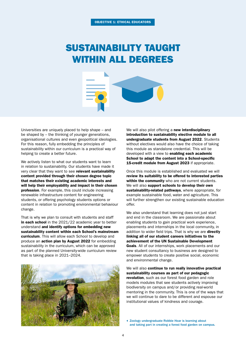# SUSTAINABILITY TAUGHT WITHIN ALL DEGREES



Universities are uniquely placed to help shape – and be shaped by – the thinking of younger generations, organisational cultures and even geopolitical ideologies. For this reason, fully embedding the principles of sustainability within our curriculum is a practical way of helping to create a better future.

We actively listen to what our students want to learn in relation to sustainability. Our students have made it very clear that they want to see relevant sustainability content provided through their chosen degree topic that matches their existing academic interests and will help their employability and impact in their chosen profession. For example, this could include increasing renewable infrastructure content for engineering students, or offering psychology students options or content in relation to promoting environmental behaviour change.

That is why we plan to consult with students and staff in each school in the 2021/22 academic year to better understand and identify options for embedding new sustainability content within each School's mainstream curriculum. This will allow each School to develop and produce an action plan by August 2022 for embedding sustainability in the curriculum, which can be approved as part of the planned University-wide curriculum review that is taking place in 2021–2024.



We will also pilot offering a new interdisciplinary introduction to sustainability elective module to all undergraduate students from August 2022. Students without electives would also have the choice of taking this module as standalone credential. This will be developed with a view to **enabling each academic** School to adapt the content into a School-specific 15-credit module from August 2023 if appropriate.

Once this module is established and evaluated we will review its suitability to be offered to interested parties within the community who are not current students. We will also support schools to develop their own sustainability-related pathways, where appropriate, for example sustainable food, water and agriculture. This will further strengthen our existing sustainable education offer.

We also understand that learning does not just start and end in the classroom. We are passionate about enabling students to gain practical work experience, placements and internships in the local community, in addition to wider field trips. That is why we are directly linking all of our student careers initiatives to the achievement of the UN Sustainable Development Goals. All of our internships, work placements and our new student consultancy to business are designed to empower students to create positive social, economic and environmental change.

We will also continue to run really innovative practical sustainability courses as part of our pedagogic revolution, such as our forest food garden and role models modules that see students actively improving biodiversity on campus and/or providing real-world mentoring in the community. This is one of the ways that we will continue to dare to be different and espouse our institutional values of kindness and courage.

Zoology undergraduate Robbie Hoar is learning about and taking part in creating a forest food garden on campus.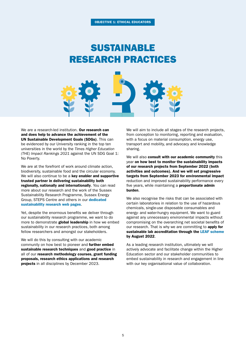### SUSTAINABLE RESEARCH PRACTICES



We are a research-led institution. Our research can and does help to advance the achievement of the UN Sustainable Development Goals (SDGs). This can be evidenced by our University ranking in the top ten universities in the world by the *Times Higher Education (THE) Impact Rankings 2021* against the UN SDG Goal 1: No Poverty.

We are at the forefront of work around climate action, biodiversity, sustainable food and the circular economy. We will also continue to be a key enabler and supportive trusted partner in delivering sustainability both regionally, nationally and internationally. You can read more about our research and the work of the Sussex Sustainability Research Programme, Sussex Energy Group, STEPS Centre and others in our [dedicated](http://www.sussex.ac.uk/about/sustainable-university/research)  [sustainability research web pages](http://www.sussex.ac.uk/about/sustainable-university/research).

Yet, despite the enormous benefits we deliver through our sustainability research programme, we want to do more to demonstrate **global leadership** in how we embed sustainability in our research practices, both among fellow researchers and amongst our stakeholders.

We will do this by consulting with our academic community on how best to pioneer and further embed sustainable research techniques and good practice in all of our research methodology courses, grant funding proposals, research ethics applications and research projects in all disciplines by December 2023.

We will aim to include all stages of the research projects, from conception to monitoring, reporting and evaluation, with a focus on material consumption, energy use, transport and mobility, and advocacy and knowledge sharing.

We will also consult with our academic community this year on how best to monitor the sustainability impacts of our research projects from September 2022 (both activities and outcomes). And we will set progressive targets from September 2023 for environmental impact reduction and improved sustainability performance every five years, while maintaining a proportionate admin burden.

We also recognise the risks that can be associated with certain laboratories in relation to the use of hazardous chemicals, single-use disposable consumables and energy- and water-hungry equipment. We want to guard against any unnecessary environmental impacts without compromising on the overarching net societal benefits of our research. That is why we are committing to apply for sustainable lab accreditation through the [LEAF scheme](https://www.ucl.ac.uk/sustainable/staff/labs/take-part-leaf) by August 2022.

As a leading research institution, ultimately we will actively advocate and facilitate change within the Higher Education sector and our stakeholder communities to embed sustainability in research and engagement in line with our key organisational value of collaboration.